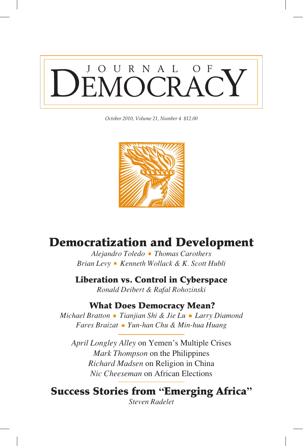# EMOCRACY

*October 2010, Volume 21, Number 4 \$12.00*



# Democratization and Development

*Alejandro Toledo Thomas Carothers Brian Levy Kenneth Wollack & K. Scott Hubli* 

# Liberation vs. Control in Cyberspace

*Ronald Deibert & Rafal Rohozinski*

## What Does Democracy Mean?

*Michael Bratton Tianjian Shi & Jie Lu Larry Diamond Fares Braizat Yun-han Chu & Min-hua Huang*

*April Longley Alley* on Yemen's Multiple Crises *Mark Thompson* on the Philippines *Richard Madsen* on Religion in China *Nic Cheeseman* on African Elections

# Success Stories from **"**Emerging Africa**"**

*Steven Radelet*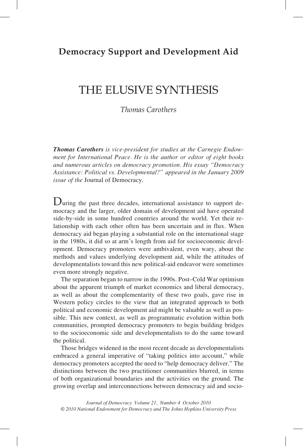## **Democracy Support and Development Aid**

# THE ELUSIVE SYNTHESIS

## *Thomas Carothers*

*Thomas Carothers is vice-president for studies at the Carnegie Endowment for International Peace. He is the author or editor of eight books and numerous articles on democracy promotion. His essay "Democracy Assistance: Political vs. Developmental?" appeared in the January 2009 issue of the* Journal of Democracy.

During the past three decades, international assistance to support democracy and the larger, older domain of development aid have operated side-by-side in some hundred countries around the world. Yet their relationship with each other often has been uncertain and in flux. When democracy aid began playing a substantial role on the international stage in the 1980s, it did so at arm's length from aid for socioeconomic development. Democracy promoters were ambivalent, even wary, about the methods and values underlying development aid, while the attitudes of developmentalists toward this new political-aid endeavor were sometimes even more strongly negative.

The separation began to narrow in the 1990s. Post–Cold War optimism about the apparent triumph of market economics and liberal democracy, as well as about the complementarity of these two goals, gave rise in Western policy circles to the view that an integrated approach to both political and economic development aid might be valuable as well as possible. This new context, as well as programmatic evolution within both communities, prompted democracy promoters to begin building bridges to the socioeconomic side and developmentalists to do the same toward the political.

Those bridges widened in the most recent decade as developmentalists embraced a general imperative of "taking politics into account," while democracy promoters accepted the need to "help democracy deliver." The distinctions between the two practitioner communities blurred, in terms of both organizational boundaries and the activities on the ground. The growing overlap and interconnections between democracy aid and socio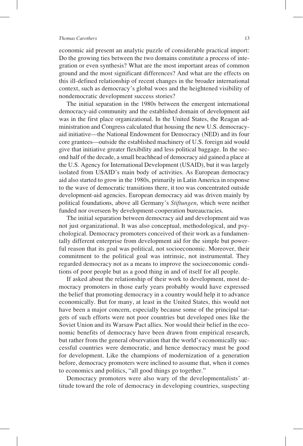economic aid present an analytic puzzle of considerable practical import: Do the growing ties between the two domains constitute a process of integration or even synthesis? What are the most important areas of common ground and the most significant differences? And what are the effects on this ill-defined relationship of recent changes in the broader international context, such as democracy's global woes and the heightened visibility of nondemocratic development success stories?

The initial separation in the 1980s between the emergent international democracy-aid community and the established domain of development aid was in the first place organizational. In the United States, the Reagan administration and Congress calculated that housing the new U.S. democracyaid initiative—the National Endowment for Democracy (NED) and its four core grantees—outside the established machinery of U.S. foreign aid would give that initiative greater flexibility and less political baggage. In the second half of the decade, a small beachhead of democracy aid gained a place at the U.S. Agency for International Development (USAID), but it was largely isolated from USAID's main body of activities. As European democracy aid also started to grow in the 1980s, primarily in Latin America in response to the wave of democratic transitions there, it too was concentrated outside development-aid agencies. European democracy aid was driven mainly by political foundations, above all Germany's *Stiftungen*, which were neither funded nor overseen by development-cooperation bureaucracies.

The initial separation between democracy aid and development aid was not just organizational. It was also conceptual, methodological, and psychological. Democracy promoters conceived of their work as a fundamentally different enterprise from development aid for the simple but powerful reason that its goal was political, not socioeconomic. Moreover, their commitment to the political goal was intrinsic, not instrumental. They regarded democracy not as a means to improve the socioeconomic conditions of poor people but as a good thing in and of itself for all people.

If asked about the relationship of their work to development, most democracy promoters in those early years probably would have expressed the belief that promoting democracy in a country would help it to advance economically. But for many, at least in the United States, this would not have been a major concern, especially because some of the principal targets of such efforts were not poor countries but developed ones like the Soviet Union and its Warsaw Pact allies. Nor would their belief in the economic benefits of democracy have been drawn from empirical research, but rather from the general observation that the world's economically successful countries were democratic, and hence democracy must be good for development. Like the champions of modernization of a generation before, democracy promoters were inclined to assume that, when it comes to economics and politics, "all good things go together."

Democracy promoters were also wary of the developmentalists' attitude toward the role of democracy in developing countries, suspecting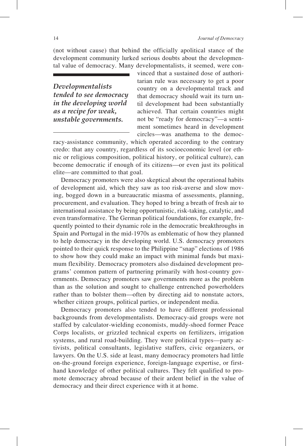(not without cause) that behind the officially apolitical stance of the development community lurked serious doubts about the developmental value of democracy. Many developmentalists, it seemed, were con-

*Developmentalists tended to see democracy in the developing world as a recipe for weak, unstable governments.*

vinced that a sustained dose of authoritarian rule was necessary to get a poor country on a developmental track and that democracy should wait its turn until development had been substantially achieved. That certain countries might not be "ready for democracy"—a sentiment sometimes heard in development circles—was anathema to the democ-

racy-assistance community, which operated according to the contrary credo: that any country, regardless of its socioeconomic level (or ethnic or religious composition, political history, or political culture), can become democratic if enough of its citizens—or even just its political elite—are committed to that goal.

Democracy promoters were also skeptical about the operational habits of development aid, which they saw as too risk-averse and slow moving, bogged down in a bureaucratic miasma of assessments, planning, procurement, and evaluation. They hoped to bring a breath of fresh air to international assistance by being opportunistic, risk-taking, catalytic, and even transformative. The German political foundations, for example, frequently pointed to their dynamic role in the democratic breakthroughs in Spain and Portugal in the mid-1970s as emblematic of how they planned to help democracy in the developing world. U.S. democracy promoters pointed to their quick response to the Philippine "snap" elections of 1986 to show how they could make an impact with minimal funds but maximum flexibility. Democracy promoters also disdained development programs' common pattern of partnering primarily with host-country governments. Democracy promoters saw governments more as the problem than as the solution and sought to challenge entrenched powerholders rather than to bolster them—often by directing aid to nonstate actors, whether citizen groups, political parties, or independent media.

Democracy promoters also tended to have different professional backgrounds from developmentalists. Democracy-aid groups were not staffed by calculator-wielding economists, muddy-shoed former Peace Corps localists, or grizzled technical experts on fertilizers, irrigation systems, and rural road-building. They were political types—party activists, political consultants, legislative staffers, civic organizers, or lawyers. On the U.S. side at least, many democracy promoters had little on-the-ground foreign experience, foreign-language expertise, or firsthand knowledge of other political cultures. They felt qualified to promote democracy abroad because of their ardent belief in the value of democracy and their direct experience with it at home.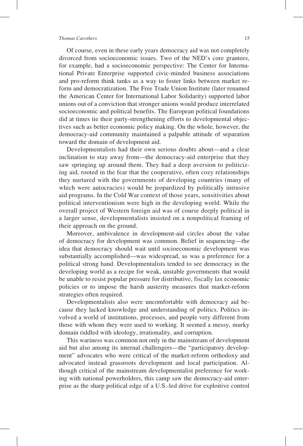Of course, even in these early years democracy aid was not completely divorced from socioeconomic issues. Two of the NED's core grantees, for example, had a socioeconomic perspective: The Center for International Private Enterprise supported civic-minded business associations and pro-reform think tanks as a way to foster links between market reform and democratization. The Free Trade Union Institute (later renamed the American Center for International Labor Solidarity) supported labor unions out of a conviction that stronger unions would produce interrelated socioeconomic and political benefits. The European political foundations did at times tie their party-strengthening efforts to developmental objectives such as better economic policy making. On the whole, however, the democracy-aid community maintained a palpable attitude of separation toward the domain of development aid.

Developmentalists had their own serious doubts about—and a clear inclination to stay away from—the democracy-aid enterprise that they saw springing up around them. They had a deep aversion to politicizing aid, rooted in the fear that the cooperative, often cozy relationships they nurtured with the governments of developing countries (many of which were autocracies) would be jeopardized by politically intrusive aid programs. In the Cold War context of those years, sensitivities about political interventionism were high in the developing world. While the overall project of Western foreign aid was of course deeply political in a larger sense, developmentalists insisted on a nonpolitical framing of their approach on the ground.

Moreover, ambivalence in development-aid circles about the value of democracy for development was common. Belief in sequencing—the idea that democracy should wait until socioeconomic development was substantially accomplished—was widespread, as was a preference for a political strong hand. Developmentalists tended to see democracy in the developing world as a recipe for weak, unstable governments that would be unable to resist popular pressure for distributive, fiscally lax economic policies or to impose the harsh austerity measures that market-reform strategies often required.

Developmentalists also were uncomfortable with democracy aid because they lacked knowledge and understanding of politics. Politics involved a world of institutions, processes, and people very different from those with whom they were used to working. It seemed a messy, murky domain riddled with ideology, irrationality, and corruption.

This wariness was common not only in the mainstream of development aid but also among its internal challengers—the "participatory development" advocates who were critical of the market-reform orthodoxy and advocated instead grassroots development and local participation. Although critical of the mainstream developmentalist preference for working with national powerholders, this camp saw the democracy-aid enterprise as the sharp political edge of a U.S.-led drive for exploitive control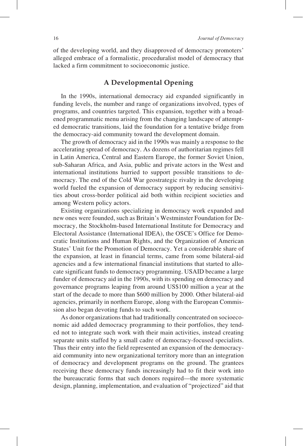of the developing world, and they disapproved of democracy promoters' alleged embrace of a formalistic, proceduralist model of democracy that lacked a firm commitment to socioeconomic justice.

#### **A Developmental Opening**

In the 1990s, international democracy aid expanded significantly in funding levels, the number and range of organizations involved, types of programs, and countries targeted. This expansion, together with a broadened programmatic menu arising from the changing landscape of attempted democratic transitions, laid the foundation for a tentative bridge from the democracy-aid community toward the development domain.

The growth of democracy aid in the 1990s was mainly a response to the accelerating spread of democracy. As dozens of authoritarian regimes fell in Latin America, Central and Eastern Europe, the former Soviet Union, sub-Saharan Africa, and Asia, public and private actors in the West and international institutions hurried to support possible transitions to democracy. The end of the Cold War geostrategic rivalry in the developing world fueled the expansion of democracy support by reducing sensitivities about cross-border political aid both within recipient societies and among Western policy actors.

Existing organizations specializing in democracy work expanded and new ones were founded, such as Britain's Westminster Foundation for Democracy, the Stockholm-based International Institute for Democracy and Electoral Assistance (International IDEA), the OSCE's Office for Democratic Institutions and Human Rights, and the Organization of American States' Unit for the Promotion of Democracy. Yet a considerable share of the expansion, at least in financial terms, came from some bilateral-aid agencies and a few international financial institutions that started to allocate significant funds to democracy programming. USAID became a large funder of democracy aid in the 1990s, with its spending on democracy and governance programs leaping from around US\$100 million a year at the start of the decade to more than \$600 million by 2000. Other bilateral-aid agencies, primarily in northern Europe, along with the European Commission also began devoting funds to such work.

As donor organizations that had traditionally concentrated on socioeconomic aid added democracy programming to their portfolios, they tended not to integrate such work with their main activities, instead creating separate units staffed by a small cadre of democracy-focused specialists. Thus their entry into the field represented an expansion of the democracyaid community into new organizational territory more than an integration of democracy and development programs on the ground. The grantees receiving these democracy funds increasingly had to fit their work into the bureaucratic forms that such donors required—the more systematic design, planning, implementation, and evaluation of "projectized" aid that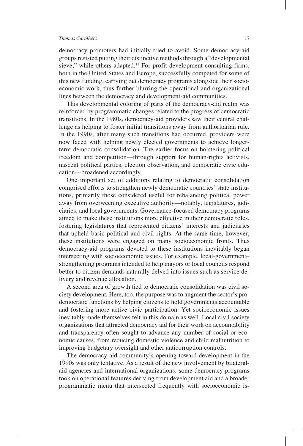democracy promoters had initially tried to avoid. Some democracy-aid groups resisted putting their distinctive methods through a "developmental sieve," while others adapted.<sup>11</sup> For-profit development-consulting firms, both in the United States and Europe, successfully competed for some of this new funding, carrying out democracy programs alongside their socioeconomic work, thus further blurring the operational and organizational lines between the democracy and development-aid communities.

This developmental coloring of parts of the democracy-aid realm was reinforced by programmatic changes related to the progress of democratic transitions. In the 1980s, democracy-aid providers saw their central challenge as helping to foster initial transitions away from authoritarian rule. In the 1990s, after many such transitions had occurred, providers were now faced with helping newly elected governments to achieve longerterm democratic consolidation. The earlier focus on bolstering political freedom and competition—through support for human-rights activists, nascent political parties, election observation, and democratic civic education—broadened accordingly.

One important set of additions relating to democratic consolidation comprised efforts to strengthen newly democratic countries' state institutions, primarily those considered useful for rebalancing political power away from overweening executive authority—notably, legislatures, judiciaries, and local governments. Governance-focused democracy programs aimed to make these institutions more effective in their democratic roles, fostering legislatures that represented citizens' interests and judiciaries that upheld basic political and civil rights. At the same time, however, these institutions were engaged on many socioeconomic fronts. Thus democracy-aid programs devoted to these institutions inevitably began intersecting with socioeconomic issues. For example, local-government– strengthening programs intended to help mayors or local councils respond better to citizen demands naturally delved into issues such as service delivery and revenue allocation.

A second area of growth tied to democratic consolidation was civil society development. Here, too, the purpose was to augment the sector's prodemocratic functions by helping citizens to hold governments accountable and fostering more active civic participation. Yet socioeconomic issues inevitably made themselves felt in this domain as well. Local civil society organizations that attracted democracy aid for their work on accountability and transparency often sought to advance any number of social or economic causes, from reducing domestic violence and child malnutrition to improving budgetary oversight and other anticorruption controls.

The democracy-aid community's opening toward development in the 1990s was only tentative. As a result of the new involvement by bilateralaid agencies and international organizations, some democracy programs took on operational features deriving from development aid and a broader programmatic menu that intersected frequently with socioeconomic is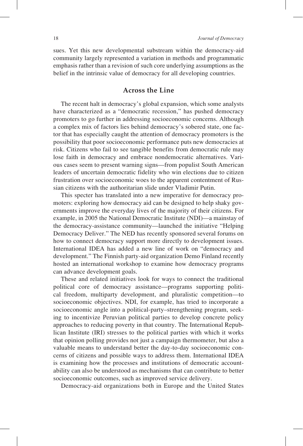sues. Yet this new developmental substream within the democracy-aid community largely represented a variation in methods and programmatic emphasis rather than a revision of such core underlying assumptions as the belief in the intrinsic value of democracy for all developing countries.

#### **Across the Line**

The recent halt in democracy's global expansion, which some analysts have characterized as a "democratic recession," has pushed democracy promoters to go further in addressing socioeconomic concerns. Although a complex mix of factors lies behind democracy's sobered state, one factor that has especially caught the attention of democracy promoters is the possibility that poor socioeconomic performance puts new democracies at risk. Citizens who fail to see tangible benefits from democratic rule may lose faith in democracy and embrace nondemocratic alternatives. Various cases seem to present warning signs—from populist South American leaders of uncertain democratic fidelity who win elections due to citizen frustration over socioeconomic woes to the apparent contentment of Russian citizens with the authoritarian slide under Vladimir Putin.

This specter has translated into a new imperative for democracy promoters: exploring how democracy aid can be designed to help shaky governments improve the everyday lives of the majority of their citizens. For example, in 2005 the National Democratic Institute (NDI)—a mainstay of the democracy-assistance community—launched the initiative "Helping Democracy Deliver." The NED has recently sponsored several forums on how to connect democracy support more directly to development issues. International IDEA has added a new line of work on "democracy and development." The Finnish party-aid organization Demo Finland recently hosted an international workshop to examine how democracy programs can advance development goals.

These and related initiatives look for ways to connect the traditional political core of democracy assistance—programs supporting political freedom, multiparty development, and pluralistic competition—to socioeconomic objectives. NDI, for example, has tried to incorporate a socioeconomic angle into a political-party–strengthening program, seeking to incentivize Peruvian political parties to develop concrete policy approaches to reducing poverty in that country. The International Republican Institute (IRI) stresses to the political parties with which it works that opinion polling provides not just a campaign thermometer, but also a valuable means to understand better the day-to-day socioeconomic concerns of citizens and possible ways to address them. International IDEA is examining how the processes and institutions of democratic accountability can also be understood as mechanisms that can contribute to better socioeconomic outcomes, such as improved service delivery.

Democracy-aid organizations both in Europe and the United States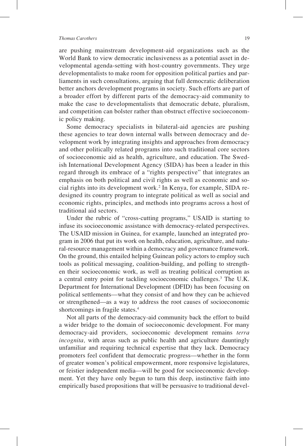are pushing mainstream development-aid organizations such as the World Bank to view democratic inclusiveness as a potential asset in developmental agenda-setting with host-country governments. They urge developmentalists to make room for opposition political parties and parliaments in such consultations, arguing that full democratic deliberation better anchors development programs in society. Such efforts are part of a broader effort by different parts of the democracy-aid community to make the case to developmentalists that democratic debate, pluralism, and competition can bolster rather than obstruct effective socioeconomic policy making.

Some democracy specialists in bilateral-aid agencies are pushing these agencies to tear down internal walls between democracy and development work by integrating insights and approaches from democracy and other politically related programs into such traditional core sectors of socioeconomic aid as health, agriculture, and education. The Swedish International Development Agency (SIDA) has been a leader in this regard through its embrace of a "rights perspective" that integrates an emphasis on both political and civil rights as well as economic and social rights into its development work.<sup>2</sup> In Kenya, for example, SIDA redesigned its country program to integrate political as well as social and economic rights, principles, and methods into programs across a host of traditional aid sectors.

Under the rubric of "cross-cutting programs," USAID is starting to infuse its socioeconomic assistance with democracy-related perspectives. The USAID mission in Guinea, for example, launched an integrated program in 2006 that put its work on health, education, agriculture, and natural-resource management within a democracy and governance framework. On the ground, this entailed helping Guinean policy actors to employ such tools as political messaging, coalition-building, and polling to strengthen their socioeconomic work, as well as treating political corruption as a central entry point for tackling socioeconomic challenges.3 The U.K. Department for International Development (DFID) has been focusing on political settlements—what they consist of and how they can be achieved or strengthened—as a way to address the root causes of socioeconomic shortcomings in fragile states.<sup>4</sup>

Not all parts of the democracy-aid community back the effort to build a wider bridge to the domain of socioeconomic development. For many democracy-aid providers, socioeconomic development remains *terra incognita,* with areas such as public health and agriculture dauntingly unfamiliar and requiring technical expertise that they lack. Democracy promoters feel confident that democratic progress—whether in the form of greater women's political empowerment, more responsive legislatures, or feistier independent media—will be good for socioeconomic development. Yet they have only begun to turn this deep, instinctive faith into empirically based propositions that will be persuasive to traditional devel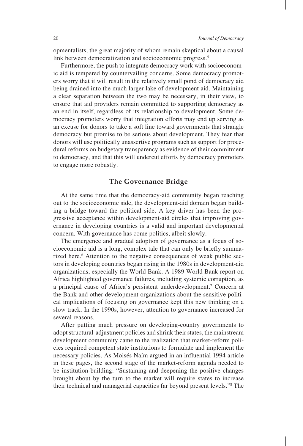opmentalists, the great majority of whom remain skeptical about a causal link between democratization and socioeconomic progress.<sup>5</sup>

Furthermore, the push to integrate democracy work with socioeconomic aid is tempered by countervailing concerns. Some democracy promoters worry that it will result in the relatively small pond of democracy aid being drained into the much larger lake of development aid. Maintaining a clear separation between the two may be necessary, in their view, to ensure that aid providers remain committed to supporting democracy as an end in itself, regardless of its relationship to development. Some democracy promoters worry that integration efforts may end up serving as an excuse for donors to take a soft line toward governments that strangle democracy but promise to be serious about development. They fear that donors will use politically unassertive programs such as support for procedural reforms on budgetary transparency as evidence of their commitment to democracy, and that this will undercut efforts by democracy promoters to engage more robustly.

#### **The Governance Bridge**

At the same time that the democracy-aid community began reaching out to the socioeconomic side, the development-aid domain began building a bridge toward the political side. A key driver has been the progressive acceptance within development-aid circles that improving governance in developing countries is a valid and important developmental concern. With governance has come politics, albeit slowly.

The emergence and gradual adoption of governance as a focus of socioeconomic aid is a long, complex tale that can only be briefly summarized here.<sup>6</sup> Attention to the negative consequences of weak public sectors in developing countries began rising in the 1980s in development-aid organizations, especially the World Bank. A 1989 World Bank report on Africa highlighted governance failures, including systemic corruption, as a principal cause of Africa's persistent underdevelopment.7 Concern at the Bank and other development organizations about the sensitive political implications of focusing on governance kept this new thinking on a slow track. In the 1990s, however, attention to governance increased for several reasons.

After putting much pressure on developing-country governments to adopt structural-adjustment policies and shrink their states, the mainstream development community came to the realization that market-reform policies required competent state institutions to formulate and implement the necessary policies. As Moisés Naím argued in an influential 1994 article in these pages, the second stage of the market-reform agenda needed to be institution-building: "Sustaining and deepening the positive changes brought about by the turn to the market will require states to increase their technical and managerial capacities far beyond present levels."8 The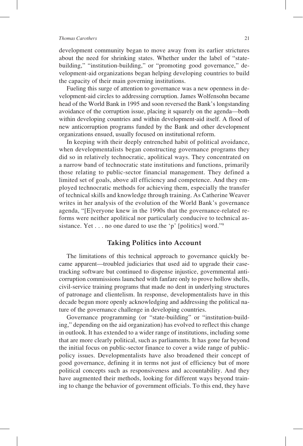development community began to move away from its earlier strictures about the need for shrinking states. Whether under the label of "statebuilding," "institution-building," or "promoting good governance," development-aid organizations began helping developing countries to build the capacity of their main governing institutions.

Fueling this surge of attention to governance was a new openness in development-aid circles to addressing corruption. James Wolfensohn became head of the World Bank in 1995 and soon reversed the Bank's longstanding avoidance of the corruption issue, placing it squarely on the agenda—both within developing countries and within development-aid itself. A flood of new anticorruption programs funded by the Bank and other development organizations ensued, usually focused on institutional reform.

In keeping with their deeply entrenched habit of political avoidance, when developmentalists began constructing governance programs they did so in relatively technocratic, apolitical ways. They concentrated on a narrow band of technocratic state institutions and functions, primarily those relating to public-sector financial management. They defined a limited set of goals, above all efficiency and competence. And they employed technocratic methods for achieving them, especially the transfer of technical skills and knowledge through training. As Catherine Weaver writes in her analysis of the evolution of the World Bank's governance agenda, "[E]veryone knew in the 1990s that the governance-related reforms were neither apolitical nor particularly conducive to technical assistance. Yet . . . no one dared to use the 'p' [politics] word."<sup>9</sup>

## **Taking Politics into Account**

The limitations of this technical approach to governance quickly became apparent—troubled judiciaries that used aid to upgrade their casetracking software but continued to dispense injustice, governmental anticorruption commissions launched with fanfare only to prove hollow shells, civil-service training programs that made no dent in underlying structures of patronage and clientelism. In response, developmentalists have in this decade begun more openly acknowledging and addressing the political nature of the governance challenge in developing countries.

Governance programming (or "state-building" or "institution-building," depending on the aid organization) has evolved to reflect this change in outlook. It has extended to a wider range of institutions, including some that are more clearly political, such as parliaments. It has gone far beyond the initial focus on public-sector finance to cover a wide range of publicpolicy issues. Developmentalists have also broadened their concept of good governance, defining it in terms not just of efficiency but of more political concepts such as responsiveness and accountability. And they have augmented their methods, looking for different ways beyond training to change the behavior of government officials. To this end, they have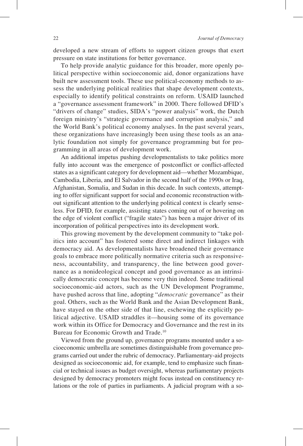developed a new stream of efforts to support citizen groups that exert pressure on state institutions for better governance.

To help provide analytic guidance for this broader, more openly political perspective within socioeconomic aid, donor organizations have built new assessment tools. These use political-economy methods to assess the underlying political realities that shape development contexts, especially to identify political constraints on reform. USAID launched a "governance assessment framework" in 2000. There followed DFID's "drivers of change" studies, SIDA's "power analysis" work, the Dutch foreign ministry's "strategic governance and corruption analysis," and the World Bank's political economy analyses. In the past several years, these organizations have increasingly been using these tools as an analytic foundation not simply for governance programming but for programming in all areas of development work.

An additional impetus pushing developmentalists to take politics more fully into account was the emergence of postconflict or conflict-affected states as a significant category for development aid—whether Mozambique, Cambodia, Liberia, and El Salvador in the second half of the 1990s or Iraq, Afghanistan, Somalia, and Sudan in this decade. In such contexts, attempting to offer significant support for social and economic reconstruction without significant attention to the underlying political context is clearly senseless. For DFID, for example, assisting states coming out of or hovering on the edge of violent conflict ("fragile states") has been a major driver of its incorporation of political perspectives into its development work.

This growing movement by the development community to "take politics into account" has fostered some direct and indirect linkages with democracy aid. As developmentalists have broadened their governance goals to embrace more politically normative criteria such as responsiveness, accountability, and transparency, the line between good governance as a nonideological concept and good governance as an intrinsically democratic concept has become very thin indeed. Some traditional socioeconomic-aid actors, such as the UN Development Programme, have pushed across that line, adopting "*democratic* governance" as their goal. Others, such as the World Bank and the Asian Development Bank, have stayed on the other side of that line, eschewing the explicitly political adjective. USAID straddles it—housing some of its governance work within its Office for Democracy and Governance and the rest in its Bureau for Economic Growth and Trade.10

Viewed from the ground up, governance programs mounted under a socioeconomic umbrella are sometimes distinguishable from governance programs carried out under the rubric of democracy. Parliamentary-aid projects designed as socioeconomic aid, for example, tend to emphasize such financial or technical issues as budget oversight, whereas parliamentary projects designed by democracy promoters might focus instead on constituency relations or the role of parties in parliaments. A judicial program with a so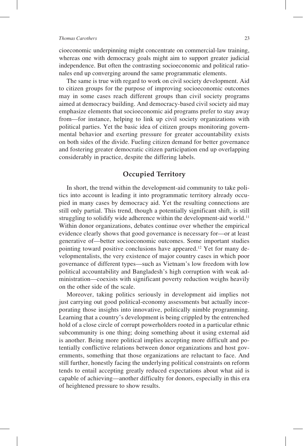cioeconomic underpinning might concentrate on commercial-law training, whereas one with democracy goals might aim to support greater judicial independence. But often the contrasting socioeconomic and political rationales end up converging around the same programmatic elements.

The same is true with regard to work on civil society development. Aid to citizen groups for the purpose of improving socioeconomic outcomes may in some cases reach different groups than civil society programs aimed at democracy building. And democracy-based civil society aid may emphasize elements that socioeconomic aid programs prefer to stay away from—for instance, helping to link up civil society organizations with political parties. Yet the basic idea of citizen groups monitoring governmental behavior and exerting pressure for greater accountability exists on both sides of the divide. Fueling citizen demand for better governance and fostering greater democratic citizen participation end up overlapping considerably in practice, despite the differing labels.

## **Occupied Territory**

In short, the trend within the development-aid community to take politics into account is leading it into programmatic territory already occupied in many cases by democracy aid. Yet the resulting connections are still only partial. This trend, though a potentially significant shift, is still struggling to solidify wide adherence within the development-aid world.<sup>11</sup> Within donor organizations, debates continue over whether the empirical evidence clearly shows that good governance is necessary for—or at least generative of—better socioeconomic outcomes. Some important studies pointing toward positive conclusions have appeared.<sup>12</sup> Yet for many developmentalists, the very existence of major country cases in which poor governance of different types—such as Vietnam's low freedom with low political accountability and Bangladesh's high corruption with weak administration—coexists with significant poverty reduction weighs heavily on the other side of the scale.

Moreover, taking politics seriously in development aid implies not just carrying out good political-economy assessments but actually incorporating those insights into innovative, politically nimble programming. Learning that a country's development is being crippled by the entrenched hold of a close circle of corrupt powerholders rooted in a particular ethnic subcommunity is one thing; doing something about it using external aid is another. Being more political implies accepting more difficult and potentially conflictive relations between donor organizations and host governments, something that those organizations are reluctant to face. And still further, honestly facing the underlying political constraints on reform tends to entail accepting greatly reduced expectations about what aid is capable of achieving—another difficulty for donors, especially in this era of heightened pressure to show results.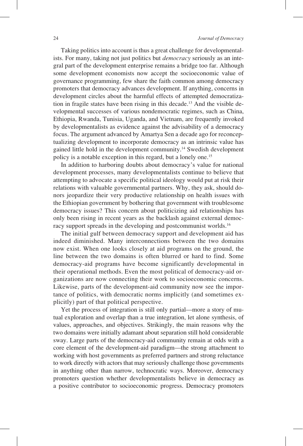Taking politics into account is thus a great challenge for developmentalists. For many, taking not just politics but *democracy* seriously as an integral part of the development enterprise remains a bridge too far. Although some development economists now accept the socioeconomic value of governance programming, few share the faith common among democracy promoters that democracy advances development. If anything, concerns in development circles about the harmful effects of attempted democratization in fragile states have been rising in this decade.13 And the visible developmental successes of various nondemocratic regimes, such as China, Ethiopia, Rwanda, Tunisia, Uganda, and Vietnam, are frequently invoked by developmentalists as evidence against the advisability of a democracy focus. The argument advanced by Amartya Sen a decade ago for reconceptualizing development to incorporate democracy as an intrinsic value has gained little hold in the development community.14 Swedish development policy is a notable exception in this regard, but a lonely one.15

In addition to harboring doubts about democracy's value for national development processes, many developmentalists continue to believe that attempting to advocate a specific political ideology would put at risk their relations with valuable governmental partners. Why, they ask, should donors jeopardize their very productive relationship on health issues with the Ethiopian government by bothering that government with troublesome democracy issues? This concern about politicizing aid relationships has only been rising in recent years as the backlash against external democracy support spreads in the developing and postcommunist worlds.<sup>16</sup>

The initial gulf between democracy support and development aid has indeed diminished. Many interconnections between the two domains now exist. When one looks closely at aid programs on the ground, the line between the two domains is often blurred or hard to find. Some democracy-aid programs have become significantly developmental in their operational methods. Even the most political of democracy-aid organizations are now connecting their work to socioeconomic concerns. Likewise, parts of the development-aid community now see the importance of politics, with democratic norms implicitly (and sometimes explicitly) part of that political perspective.

Yet the process of integration is still only partial—more a story of mutual exploration and overlap than a true integration, let alone synthesis, of values, approaches, and objectives. Strikingly, the main reasons why the two domains were initially adamant about separation still hold considerable sway. Large parts of the democracy-aid community remain at odds with a core element of the development-aid paradigm—the strong attachment to working with host governments as preferred partners and strong reluctance to work directly with actors that may seriously challenge those governments in anything other than narrow, technocratic ways. Moreover, democracy promoters question whether developmentalists believe in democracy as a positive contributor to socioeconomic progress. Democracy promoters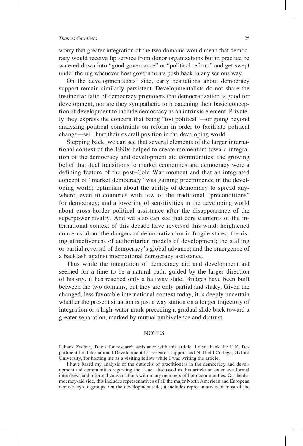worry that greater integration of the two domains would mean that democracy would receive lip service from donor organizations but in practice be watered-down into "good governance" or "political reform" and get swept under the rug whenever host governments push back in any serious way.

On the developmentalists' side, early hesitations about democracy support remain similarly persistent. Developmentalists do not share the instinctive faith of democracy promoters that democratization is good for development, nor are they sympathetic to broadening their basic conception of development to include democracy as an intrinsic element. Privately they express the concern that being "too political"—or going beyond analyzing political constraints on reform in order to facilitate political change—will hurt their overall position in the developing world.

Stepping back, we can see that several elements of the larger international context of the 1990s helped to create momentum toward integration of the democracy and development aid communities: the growing belief that dual transitions to market economies and democracy were a defining feature of the post–Cold War moment and that an integrated concept of "market democracy" was gaining preeminence in the developing world; optimism about the ability of democracy to spread anywhere, even to countries with few of the traditional "preconditions" for democracy; and a lowering of sensitivities in the developing world about cross-border political assistance after the disappearance of the superpower rivalry. And we also can see that core elements of the international context of this decade have reversed this wind: heightened concerns about the dangers of democratization in fragile states; the rising attractiveness of authoritarian models of development; the stalling or partial reversal of democracy's global advance; and the emergence of a backlash against international democracy assistance.

Thus while the integration of democracy aid and development aid seemed for a time to be a natural path, guided by the larger direction of history, it has reached only a halfway state. Bridges have been built between the two domains, but they are only partial and shaky. Given the changed, less favorable international context today, it is deeply uncertain whether the present situation is just a way station on a longer trajectory of integration or a high-water mark preceding a gradual slide back toward a greater separation, marked by mutual ambivalence and distrust.

#### **NOTES**

I thank Zachary Davis for research assistance with this article. I also thank the U.K. Department for International Development for research support and Nuffield College, Oxford University, for hosting me as a visiting fellow while I was writing the article.

I have based my analysis of the outlooks of practitioners in the democracy and development aid communities regarding the issues discussed in this article on extensive formal interviews and informal conversations with many members of both communities. On the democracy-aid side, this includes representatives of all the major North American and European democracy-aid groups. On the development side, it includes representatives of most of the